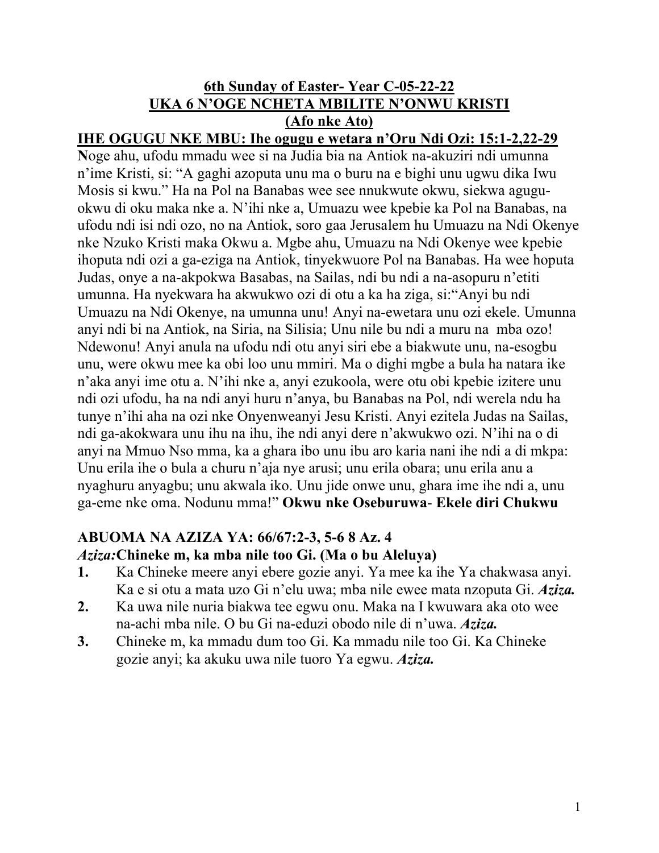## **6th Sunday of Easter- Year C-05-22-22 UKA 6 N'OGE NCHETA MBILITE N'ONWU KRISTI (Afo nke Ato)**

## **IHE OGUGU NKE MBU: Ihe ogugu e wetara n'Oru Ndi Ozi: 15:1-2,22-29**

**N**oge ahu, ufodu mmadu wee si na Judia bia na Antiok na-akuziri ndi umunna n'ime Kristi, si: "A gaghi azoputa unu ma o buru na e bighi unu ugwu dika Iwu Mosis si kwu." Ha na Pol na Banabas wee see nnukwute okwu, siekwa aguguokwu di oku maka nke a. N'ihi nke a, Umuazu wee kpebie ka Pol na Banabas, na ufodu ndi isi ndi ozo, no na Antiok, soro gaa Jerusalem hu Umuazu na Ndi Okenye nke Nzuko Kristi maka Okwu a. Mgbe ahu, Umuazu na Ndi Okenye wee kpebie ihoputa ndi ozi a ga-eziga na Antiok, tinyekwuore Pol na Banabas. Ha wee hoputa Judas, onye a na-akpokwa Basabas, na Sailas, ndi bu ndi a na-asopuru n'etiti umunna. Ha nyekwara ha akwukwo ozi di otu a ka ha ziga, si:"Anyi bu ndi Umuazu na Ndi Okenye, na umunna unu! Anyi na-ewetara unu ozi ekele. Umunna anyi ndi bi na Antiok, na Siria, na Silisia; Unu nile bu ndi a muru na mba ozo! Ndewonu! Anyi anula na ufodu ndi otu anyi siri ebe a biakwute unu, na-esogbu unu, were okwu mee ka obi loo unu mmiri. Ma o dighi mgbe a bula ha natara ike n'aka anyi ime otu a. N'ihi nke a, anyi ezukoola, were otu obi kpebie izitere unu ndi ozi ufodu, ha na ndi anyi huru n'anya, bu Banabas na Pol, ndi werela ndu ha tunye n'ihi aha na ozi nke Onyenweanyi Jesu Kristi. Anyi ezitela Judas na Sailas, ndi ga-akokwara unu ihu na ihu, ihe ndi anyi dere n'akwukwo ozi. N'ihi na o di anyi na Mmuo Nso mma, ka a ghara ibo unu ibu aro karia nani ihe ndi a di mkpa: Unu erila ihe o bula a churu n'aja nye arusi; unu erila obara; unu erila anu a nyaghuru anyagbu; unu akwala iko. Unu jide onwe unu, ghara ime ihe ndi a, unu ga-eme nke oma. Nodunu mma!" **Okwu nke Oseburuwa**- **Ekele diri Chukwu**

# **ABUOMA NA AZIZA YA: 66/67:2-3, 5-6 8 Az. 4**

#### *Aziza:***Chineke m, ka mba nile too Gi. (Ma o bu Aleluya)**

- **1.** Ka Chineke meere anyi ebere gozie anyi. Ya mee ka ihe Ya chakwasa anyi. Ka e si otu a mata uzo Gi n'elu uwa; mba nile ewee mata nzoputa Gi. *Aziza.*
- **2.** Ka uwa nile nuria biakwa tee egwu onu. Maka na I kwuwara aka oto wee na-achi mba nile. O bu Gi na-eduzi obodo nile di n'uwa. *Aziza.*
- **3.** Chineke m, ka mmadu dum too Gi. Ka mmadu nile too Gi. Ka Chineke gozie anyi; ka akuku uwa nile tuoro Ya egwu. *Aziza.*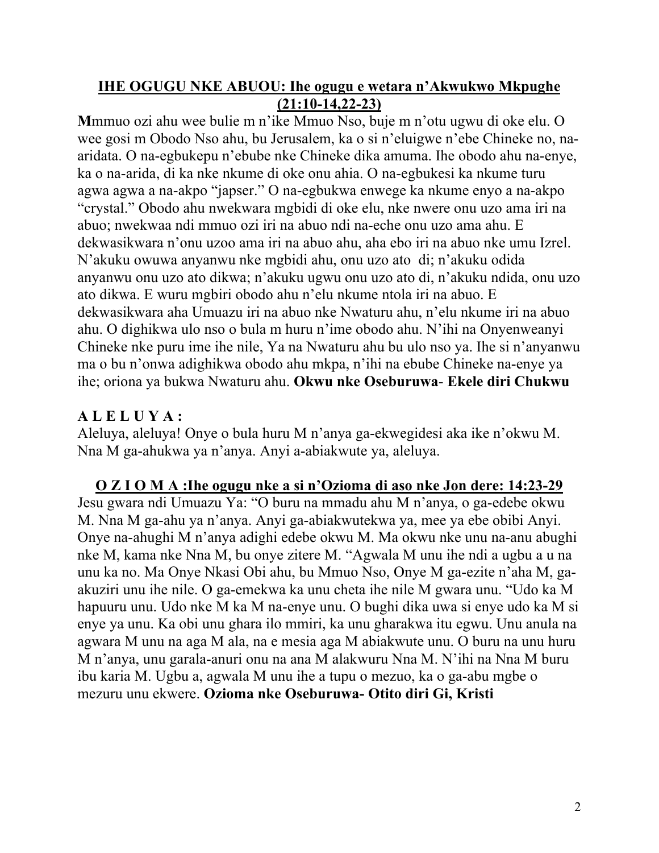## **IHE OGUGU NKE ABUOU: Ihe ogugu e wetara n'Akwukwo Mkpughe (21:10-14,22-23)**

**M**mmuo ozi ahu wee bulie m n'ike Mmuo Nso, buje m n'otu ugwu di oke elu. O wee gosi m Obodo Nso ahu, bu Jerusalem, ka o si n'eluigwe n'ebe Chineke no, naaridata. O na-egbukepu n'ebube nke Chineke dika amuma. Ihe obodo ahu na-enye, ka o na-arida, di ka nke nkume di oke onu ahia. O na-egbukesi ka nkume turu agwa agwa a na-akpo "japser." O na-egbukwa enwege ka nkume enyo a na-akpo "crystal." Obodo ahu nwekwara mgbidi di oke elu, nke nwere onu uzo ama iri na abuo; nwekwaa ndi mmuo ozi iri na abuo ndi na-eche onu uzo ama ahu. E dekwasikwara n'onu uzoo ama iri na abuo ahu, aha ebo iri na abuo nke umu Izrel. N'akuku owuwa anyanwu nke mgbidi ahu, onu uzo ato di; n'akuku odida anyanwu onu uzo ato dikwa; n'akuku ugwu onu uzo ato di, n'akuku ndida, onu uzo ato dikwa. E wuru mgbiri obodo ahu n'elu nkume ntola iri na abuo. E dekwasikwara aha Umuazu iri na abuo nke Nwaturu ahu, n'elu nkume iri na abuo ahu. O dighikwa ulo nso o bula m huru n'ime obodo ahu. N'ihi na Onyenweanyi Chineke nke puru ime ihe nile, Ya na Nwaturu ahu bu ulo nso ya. Ihe si n'anyanwu ma o bu n'onwa adighikwa obodo ahu mkpa, n'ihi na ebube Chineke na-enye ya ihe; oriona ya bukwa Nwaturu ahu. **Okwu nke Oseburuwa**- **Ekele diri Chukwu**

## **A L E L U Y A :**

Aleluya, aleluya! Onye o bula huru M n'anya ga-ekwegidesi aka ike n'okwu M. Nna M ga-ahukwa ya n'anya. Anyi a-abiakwute ya, aleluya.

## **O Z I O M A :Ihe ogugu nke a si n'Ozioma di aso nke Jon dere: 14:23-29**

Jesu gwara ndi Umuazu Ya: "O buru na mmadu ahu M n'anya, o ga-edebe okwu M. Nna M ga-ahu ya n'anya. Anyi ga-abiakwutekwa ya, mee ya ebe obibi Anyi. Onye na-ahughi M n'anya adighi edebe okwu M. Ma okwu nke unu na-anu abughi nke M, kama nke Nna M, bu onye zitere M. "Agwala M unu ihe ndi a ugbu a u na unu ka no. Ma Onye Nkasi Obi ahu, bu Mmuo Nso, Onye M ga-ezite n'aha M, gaakuziri unu ihe nile. O ga-emekwa ka unu cheta ihe nile M gwara unu. "Udo ka M hapuuru unu. Udo nke M ka M na-enye unu. O bughi dika uwa si enye udo ka M si enye ya unu. Ka obi unu ghara ilo mmiri, ka unu gharakwa itu egwu. Unu anula na agwara M unu na aga M ala, na e mesia aga M abiakwute unu. O buru na unu huru M n'anya, unu garala-anuri onu na ana M alakwuru Nna M. N'ihi na Nna M buru ibu karia M. Ugbu a, agwala M unu ihe a tupu o mezuo, ka o ga-abu mgbe o mezuru unu ekwere. **Ozioma nke Oseburuwa- Otito diri Gi, Kristi**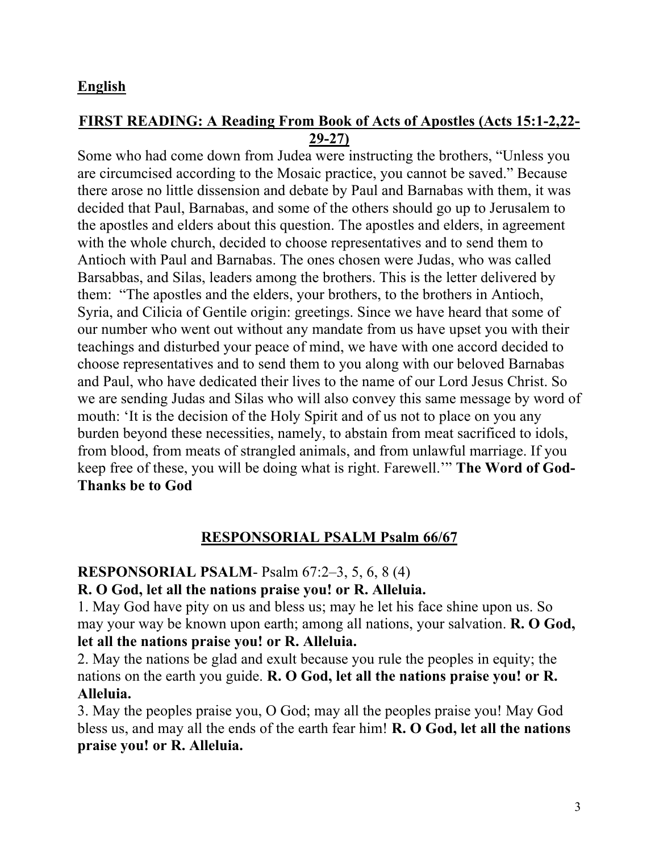## **English**

#### **FIRST READING: A Reading From Book of Acts of Apostles (Acts 15:1-2,22- 29-27)**

Some who had come down from Judea were instructing the brothers, "Unless you are circumcised according to the Mosaic practice, you cannot be saved." Because there arose no little dissension and debate by Paul and Barnabas with them, it was decided that Paul, Barnabas, and some of the others should go up to Jerusalem to the apostles and elders about this question. The apostles and elders, in agreement with the whole church, decided to choose representatives and to send them to Antioch with Paul and Barnabas. The ones chosen were Judas, who was called Barsabbas, and Silas, leaders among the brothers. This is the letter delivered by them: "The apostles and the elders, your brothers, to the brothers in Antioch, Syria, and Cilicia of Gentile origin: greetings. Since we have heard that some of our number who went out without any mandate from us have upset you with their teachings and disturbed your peace of mind, we have with one accord decided to choose representatives and to send them to you along with our beloved Barnabas and Paul, who have dedicated their lives to the name of our Lord Jesus Christ. So we are sending Judas and Silas who will also convey this same message by word of mouth: 'It is the decision of the Holy Spirit and of us not to place on you any burden beyond these necessities, namely, to abstain from meat sacrificed to idols, from blood, from meats of strangled animals, and from unlawful marriage. If you keep free of these, you will be doing what is right. Farewell.'" **The Word of God-Thanks be to God**

## **RESPONSORIAL PSALM Psalm 66/67**

#### **RESPONSORIAL PSALM**- Psalm 67:2–3, 5, 6, 8 (4)

#### **R. O God, let all the nations praise you! or R. Alleluia.**

1. May God have pity on us and bless us; may he let his face shine upon us. So may your way be known upon earth; among all nations, your salvation. **R. O God, let all the nations praise you! or R. Alleluia.**

2. May the nations be glad and exult because you rule the peoples in equity; the nations on the earth you guide. **R. O God, let all the nations praise you! or R. Alleluia.**

3. May the peoples praise you, O God; may all the peoples praise you! May God bless us, and may all the ends of the earth fear him! **R. O God, let all the nations praise you! or R. Alleluia.**